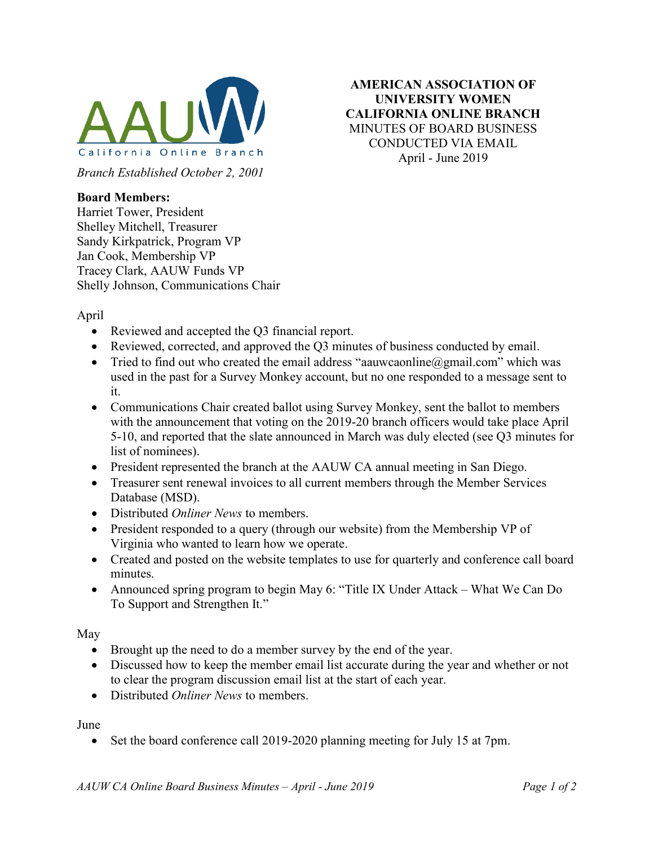

Branch Established October 2, 2001

AMERICAN ASSOCIATION OF UNIVERSITY WOMEN CALIFORNIA ONLINE BRANCH MINUTES OF BOARD BUSINESS CONDUCTED VIA EMAIL April - June 2019

## Board Members:

Harriet Tower, President Shelley Mitchell, Treasurer Sandy Kirkpatrick, Program VP Jan Cook, Membership VP Tracey Clark, AAUW Funds VP Shelly Johnson, Communications Chair

April

- Reviewed and accepted the Q3 financial report.
- Reviewed, corrected, and approved the Q3 minutes of business conducted by email.
- Tried to find out who created the email address "aauwcaonline@gmail.com" which was used in the past for a Survey Monkey account, but no one responded to a message sent to it.
- Communications Chair created ballot using Survey Monkey, sent the ballot to members with the announcement that voting on the 2019-20 branch officers would take place April 5-10, and reported that the slate announced in March was duly elected (see Q3 minutes for list of nominees).
- President represented the branch at the AAUW CA annual meeting in San Diego.
- Treasurer sent renewal invoices to all current members through the Member Services Database (MSD).
- Distributed *Onliner News* to members.
- President responded to a query (through our website) from the Membership VP of Virginia who wanted to learn how we operate.
- Created and posted on the website templates to use for quarterly and conference call board minutes.
- Announced spring program to begin May 6: "Title IX Under Attack What We Can Do To Support and Strengthen It."

May

- Brought up the need to do a member survey by the end of the year.
- Discussed how to keep the member email list accurate during the year and whether or not to clear the program discussion email list at the start of each year.
- Distributed *Onliner News* to members.

June

Set the board conference call 2019-2020 planning meeting for July 15 at 7pm.